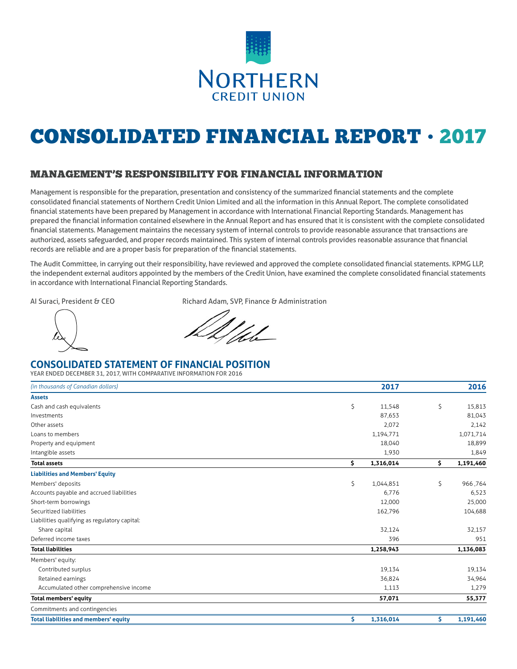

# CONSOLIDATED FINANCIAL REPORT • 2017

### MANAGEMENT'S RESPONSIBILITY FOR FINANCIAL INFORMATION

Management is responsible for the preparation, presentation and consistency of the summarized financial statements and the complete consolidated financial statements of Northern Credit Union Limited and all the information in this Annual Report. The complete consolidated financial statements have been prepared by Management in accordance with International Financial Reporting Standards. Management has prepared the financial information contained elsewhere in the Annual Report and has ensured that it is consistent with the complete consolidated financial statements. Management maintains the necessary system of internal controls to provide reasonable assurance that transactions are authorized, assets safeguarded, and proper records maintained. This system of internal controls provides reasonable assurance that financial records are reliable and are a proper basis for preparation of the financial statements.

The Audit Committee, in carrying out their responsibility, have reviewed and approved the complete consolidated financial statements. KPMG LLP, the independent external auditors appointed by the members of the Credit Union, have examined the complete consolidated financial statements in accordance with International Financial Reporting Standards.

AI Suraci, President & CEO Richard Adam, SVP, Finance & Administration

## **CONSOLIDATED STATEMENT OF FINANCIAL POSITION**

YEAR ENDED DECEMBER 31, 2017, WITH COMPARATIVE INFORMATION FOR 2016

| (in thousands of Canadian dollars)            | 2017            | 2016            |
|-----------------------------------------------|-----------------|-----------------|
| <b>Assets</b>                                 |                 |                 |
| Cash and cash equivalents                     | \$<br>11,548    | \$<br>15,813    |
| Investments                                   | 87,653          | 81,043          |
| Other assets                                  | 2,072           | 2,142           |
| Loans to members                              | 1,194,771       | 1,071,714       |
| Property and equipment                        | 18,040          | 18,899          |
| Intangible assets                             | 1,930           | 1,849           |
| <b>Total assets</b>                           | \$<br>1,316,014 | \$<br>1,191,460 |
| <b>Liabilities and Members' Equity</b>        |                 |                 |
| Members' deposits                             | \$<br>1,044,851 | \$<br>966,764   |
| Accounts payable and accrued liabilities      | 6,776           | 6,523           |
| Short-term borrowings                         | 12,000          | 25,000          |
| Securitized liabilities                       | 162,796         | 104,688         |
| Liabilities qualifying as regulatory capital: |                 |                 |
| Share capital                                 | 32,124          | 32,157          |
| Deferred income taxes                         | 396             | 951             |
| <b>Total liabilities</b>                      | 1,258,943       | 1,136,083       |
| Members' equity:                              |                 |                 |
| Contributed surplus                           | 19,134          | 19,134          |
| Retained earnings                             | 36,824          | 34,964          |
| Accumulated other comprehensive income        | 1,113           | 1,279           |
| Total members' equity                         | 57,071          | 55,377          |
| Commitments and contingencies                 |                 |                 |
| <b>Total liabilities and members' equity</b>  | \$<br>1,316,014 | \$<br>1,191,460 |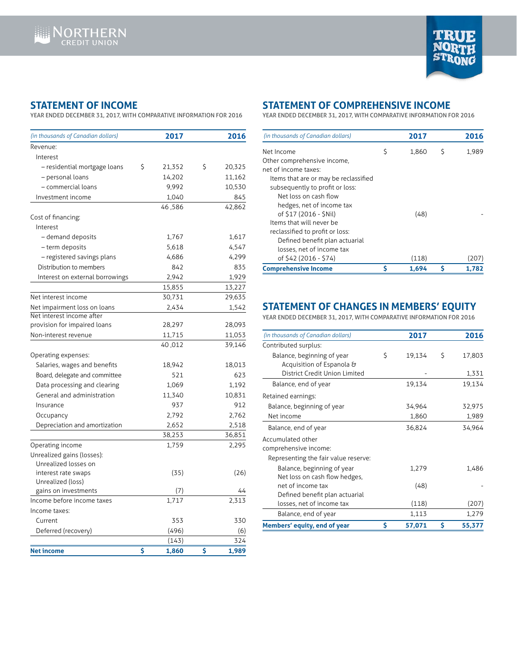

## **STATEMENT OF INCOME**

YEAR ENDED DECEMBER 31, 2017, WITH COMPARATIVE INFORMATION FOR 2016

| (in thousands of Canadian dollars)                        | 2017         | 2016         | (in thousands of Canadian dollars)                   |
|-----------------------------------------------------------|--------------|--------------|------------------------------------------------------|
| Revenue:                                                  |              |              | Net Income                                           |
| Interest                                                  |              |              | Other comprehensive income,                          |
| - residential mortgage loans                              | \$<br>21,352 | \$<br>20,325 | net of income taxes:                                 |
| - personal loans                                          | 14,202       | 11,162       | Items that are or may be recl                        |
| - commercial loans                                        | 9,992        | 10,530       | subsequently to profit or los                        |
| Investment income                                         | 1,040        | 845          | Net loss on cash flow                                |
|                                                           | 46,586       | 42,862       | hedges, net of income ta>                            |
| Cost of financing:                                        |              |              | of \$17 (2016 - \$Nil)                               |
| Interest                                                  |              |              | Items that will never be                             |
| - demand deposits                                         | 1,767        | 1,617        | reclassified to profit or loss:                      |
| - term deposits                                           | 5,618        | 4,547        | Defined benefit plan actu                            |
| - registered savings plans                                | 4,686        | 4,299        | losses, net of income tax                            |
| Distribution to members                                   | 842          | 835          | of \$42 (2016 - \$74)                                |
|                                                           | 2,942        | 1,929        | <b>Comprehensive Income</b>                          |
| Interest on external borrowings                           |              |              |                                                      |
|                                                           | 15,855       | 13,227       |                                                      |
| Net interest income                                       | 30,731       | 29,635       |                                                      |
| Net impairment loss on loans<br>Net interest income after | 2,434        | 1,542        | <b>STATEMENT OF CHA</b>                              |
| provision for impaired loans                              | 28,297       | 28,093       | YEAR ENDED DECEMBER 31, 2017                         |
| Non-interest revenue                                      | 11,715       |              |                                                      |
|                                                           |              | 11,053       | (in thousands of Canadian dollars)                   |
|                                                           | 40,012       | 39,146       | Contributed surplus:                                 |
| Operating expenses:                                       |              |              | Balance, beginning of year                           |
| Salaries, wages and benefits                              | 18,942       | 18,013       | Acquisition of Espanola<br>District Credit Union Lin |
| Board, delegate and committee                             | 521          | 623          |                                                      |
| Data processing and clearing                              | 1,069        | 1,192        | Balance, end of year                                 |
| General and administration                                | 11,340       | 10,831       | Retained earnings:                                   |
| Insurance                                                 | 937          | 912          | Balance, beginning of year                           |
| Occupancy                                                 | 2,792        | 2,762        | Net income                                           |
| Depreciation and amortization                             | 2,652        | 2,518        | Balance, end of year                                 |
|                                                           | 38,253       | 36,851       | Accumulated other                                    |
| Operating income                                          | 1,759        | 2,295        | comprehensive income:                                |
| Unrealized gains (losses):                                |              |              | Representing the fair value re                       |
| Unrealized losses on                                      |              |              | Balance, beginning of yea                            |
| interest rate swaps                                       | (35)         | (26)         | Net loss on cash flow hed                            |
| Unrealized (loss)                                         |              |              | net of income tax                                    |
| gains on investments                                      | (7)          | 44           | Defined benefit plan actu                            |
| Income before income taxes                                | 1,717        | 2,313        | losses, net of income tax                            |
| Income taxes:                                             |              |              | Balance, end of year                                 |
| Current                                                   | 353          | 330          | Members' equity, end of year                         |
| Deferred (recovery)                                       | (496)        | (6)          |                                                      |
|                                                           | (143)        | 324          |                                                      |
| <b>Net income</b>                                         | \$<br>1,860  | \$<br>1,989  |                                                      |

## **STATEMENT OF COMPREHENSIVE INCOME**

YEAR ENDED DECEMBER 31, 2017, WITH COMPARATIVE INFORMATION FOR 2016

| (in thousands of Canadian dollars)    |   | 2017  |   | 2016  |
|---------------------------------------|---|-------|---|-------|
| Net Income                            | Ś | 1,860 | S | 1,989 |
| Other comprehensive income,           |   |       |   |       |
| net of income taxes:                  |   |       |   |       |
| Items that are or may be reclassified |   |       |   |       |
| subsequently to profit or loss:       |   |       |   |       |
| Net loss on cash flow                 |   |       |   |       |
| hedges, net of income tax             |   |       |   |       |
| of \$17 (2016 - \$Nil)                |   | (48)  |   |       |
| Items that will never be              |   |       |   |       |
| reclassified to profit or loss:       |   |       |   |       |
| Defined benefit plan actuarial        |   |       |   |       |
| losses, net of income tax             |   |       |   |       |
| of \$42 (2016 - \$74)                 |   | (118) |   | (207  |
| <b>Comprehensive Income</b>           | S | 1.694 | S | 1.782 |

## **STATEMENT OF CHANGES IN MEMBERS' EQUITY**

YEAR ENDED DECEMBER 31, 2017, WITH COMPARATIVE INFORMATION FOR 2016

| (in thousands of Canadian dollars)   |   | 2017   |   | 2016   |
|--------------------------------------|---|--------|---|--------|
| Contributed surplus:                 |   |        |   |        |
| Balance, beginning of year           | Ś | 19,134 | Ŝ | 17,803 |
| Acquisition of Espanola &            |   |        |   |        |
| District Credit Union Limited        |   |        |   | 1,331  |
| Balance, end of year                 |   | 19,134 |   | 19,134 |
| Retained earnings:                   |   |        |   |        |
| Balance, beginning of year           |   | 34,964 |   | 32,975 |
| Net income                           |   | 1,860  |   | 1,989  |
| Balance, end of year                 |   | 36,824 |   | 34,964 |
| Accumulated other                    |   |        |   |        |
| comprehensive income:                |   |        |   |        |
| Representing the fair value reserve: |   |        |   |        |
| Balance, beginning of year           |   | 1,279  |   | 1,486  |
| Net loss on cash flow hedges,        |   |        |   |        |
| net of income tax                    |   | (48)   |   |        |
| Defined benefit plan actuarial       |   |        |   |        |
| losses, net of income tax            |   | (118)  |   | (207)  |
| Balance, end of year                 |   | 1,113  |   | 1,279  |
| Members' equity, end of year         | Ś | 57,071 | Ś | 55,377 |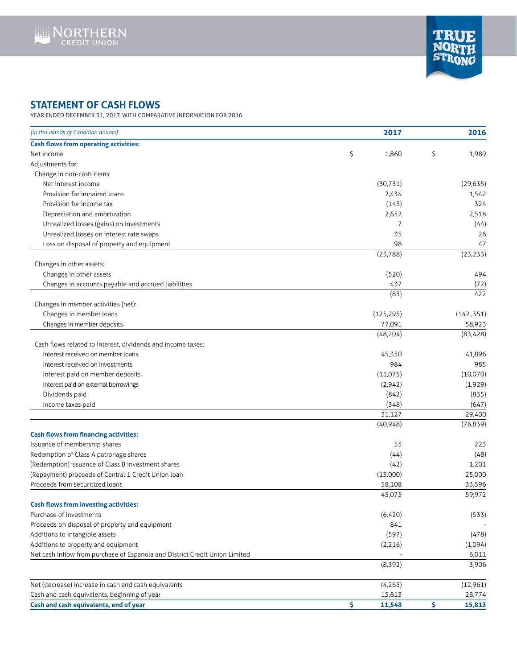



## **STATEMENT OF CASH FLOWS**

YEAR ENDED DECEMBER 31, 2017, WITH COMPARATIVE INFORMATION FOR 2016

| (in thousands of Canadian dollars)                                          | 2017          | 2016          |
|-----------------------------------------------------------------------------|---------------|---------------|
| <b>Cash flows from operating activities:</b>                                |               |               |
| Net income                                                                  | \$<br>1,860   | \$<br>1,989   |
| Adjustments for:                                                            |               |               |
| Change in non-cash items:                                                   |               |               |
| Net interest income                                                         | (30, 731)     | (29, 635)     |
| Provision for impaired loans                                                | 2,434         | 1,542         |
| Provision for income tax                                                    | (143)         | 324           |
| Depreciation and amortization                                               | 2,652         | 2,518         |
| Unrealized losses (gains) on investments                                    | 7             | (44)          |
| Unrealized losses on interest rate swaps                                    | 35            | 26            |
| Loss on disposal of property and equipment                                  | 98            | 47            |
|                                                                             | (23, 788)     | (23, 233)     |
| Changes in other assets:                                                    |               |               |
| Changes in other assets                                                     | (520)         | 494           |
| Changes in accounts payable and accrued liabilities                         | 437           | (72)          |
|                                                                             | (83)          | 422           |
| Changes in member activities (net):                                         |               |               |
| Changes in member loans                                                     | (125, 295)    | (142, 351)    |
| Changes in member deposits                                                  | 77,091        | 58,923        |
|                                                                             | (48, 204)     | (83, 428)     |
| Cash flows related to interest, dividends and income taxes:                 |               |               |
| Interest received on member loans                                           | 45.350        | 41,896        |
| Interest received on investments                                            | 984           | 985           |
| Interest paid on member deposits                                            | (11,075)      | (10,070)      |
| Interest paid on external borrowings                                        | (2,942)       | (1,929)       |
| Dividends paid                                                              | (842)         | (835)         |
| Income taxes paid                                                           | (348)         | (647)         |
|                                                                             | 31,127        | 29,400        |
|                                                                             | (40, 948)     | (76, 839)     |
| <b>Cash flows from financing activities:</b>                                |               |               |
| Issuance of membership shares                                               | 53            | 223           |
| Redemption of Class A patronage shares                                      | (44)          | (48)          |
| (Redemption) issuance of Class B investment shares                          | (42)          | 1,201         |
| (Repayment) proceeds of Central 1 Credit Union loan                         | (13,000)      | 25,000        |
| Proceeds from securitized loans                                             | 58,108        | 33,596        |
|                                                                             | 45,075        | 59,972        |
| <b>Cash flows from investing activities:</b>                                |               |               |
| Purchase of investments                                                     | (6,420)       | (533)         |
| Proceeds on disposal of property and equipment                              | 841           |               |
| Additions to intangible assets                                              | (597)         | (478)         |
| Additions to property and equipment                                         | (2,216)       | (1,094)       |
| Net cash inflow from purchase of Espanola and District Credit Union Limited |               | 6,011         |
|                                                                             | (8, 392)      | 3,906         |
| Net (decrease) increase in cash and cash equivalents                        | (4, 265)      | (12,961)      |
| Cash and cash equivalents, beginning of year                                | 15,813        | 28,774        |
| Cash and cash equivalents, end of year                                      | \$.<br>11,548 | \$.<br>15,813 |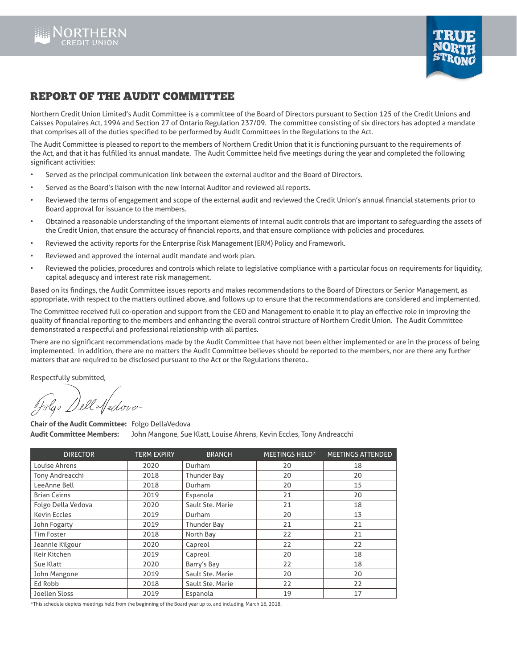



## REPORT OF THE AUDIT COMMITTEE

Northern Credit Union Limited's Audit Committee is a committee of the Board of Directors pursuant to Section 125 of the Credit Unions and Caisses Populaires Act, 1994 and Section 27 of Ontario Regulation 237/09. The committee consisting of six directors has adopted a mandate that comprises all of the duties specified to be performed by Audit Committees in the Regulations to the Act.

The Audit Committee is pleased to report to the members of Northern Credit Union that it is functioning pursuant to the requirements of the Act, and that it has fulfilled its annual mandate. The Audit Committee held five meetings during the year and completed the following significant activities:

- Served as the principal communication link between the external auditor and the Board of Directors.
- Served as the Board's liaison with the new Internal Auditor and reviewed all reports.
- Reviewed the terms of engagement and scope of the external audit and reviewed the Credit Union's annual financial statements prior to Board approval for issuance to the members.
- Obtained a reasonable understanding of the important elements of internal audit controls that are important to safeguarding the assets of the Credit Union, that ensure the accuracy of financial reports, and that ensure compliance with policies and procedures.
- Reviewed the activity reports for the Enterprise Risk Management (ERM) Policy and Framework.
- Reviewed and approved the internal audit mandate and work plan.
- Reviewed the policies, procedures and controls which relate to legislative compliance with a particular focus on requirements for liquidity, capital adequacy and interest rate risk management.

Based on its findings, the Audit Committee issues reports and makes recommendations to the Board of Directors or Senior Management, as appropriate, with respect to the matters outlined above, and follows up to ensure that the recommendations are considered and implemented.

The Committee received full co-operation and support from the CEO and Management to enable it to play an effective role in improving the quality of financial reporting to the members and enhancing the overall control structure of Northern Credit Union. The Audit Committee demonstrated a respectful and professional relationship with all parties.

There are no significant recommendations made by the Audit Committee that have not been either implemented or are in the process of being implemented. In addition, there are no matters the Audit Committee believes should be reported to the members, nor are there any further matters that are required to be disclosed pursuant to the Act or the Regulations thereto..

Respectfully submitted,

Co Dell Medovo

**Chair of the Audit Committee:** Folgo DellaVedova **Audit Committee Members:** John Mangone, Sue Klatt, Louise Ahrens, Kevin Eccles, Tony Andreacchi

| <b>DIRECTOR</b>     | <b>TERM EXPIRY</b> | <b>BRANCH</b>    | MEETINGS HELD* | <b>MEETINGS ATTENDED</b> |
|---------------------|--------------------|------------------|----------------|--------------------------|
| Louise Ahrens       | 2020               | Durham           | 20             | 18                       |
| Tony Andreacchi     | 2018               | Thunder Bay      | 20             | 20                       |
| LeeAnne Bell        | 2018               | Durham           | 20             | 15                       |
| <b>Brian Cairns</b> | 2019               | Espanola         | 21             | 20                       |
| Folgo Della Vedova  | 2020               | Sault Ste. Marie | 21             | 18                       |
| <b>Kevin Eccles</b> | 2019               | Durham           | 20             | 13                       |
| John Fogarty        | 2019               | Thunder Bay      | 21             | 21                       |
| <b>Tim Foster</b>   | 2018               | North Bay        | 22             | 21                       |
| Jeannie Kilgour     | 2020               | Capreol          | 22             | 22                       |
| Keir Kitchen        | 2019               | Capreol          | 20             | 18                       |
| Sue Klatt           | 2020               | Barry's Bay      | 22             | 18                       |
| John Mangone        | 2019               | Sault Ste. Marie | 20             | 20                       |
| Ed Robb             | 2018               | Sault Ste. Marie | 22             | 22                       |
| Joellen Sloss       | 2019               | Espanola         | 19             | 17                       |

\*This schedule depicts meetings held from the beginning of the Board year up to, and including, March 16, 2018.